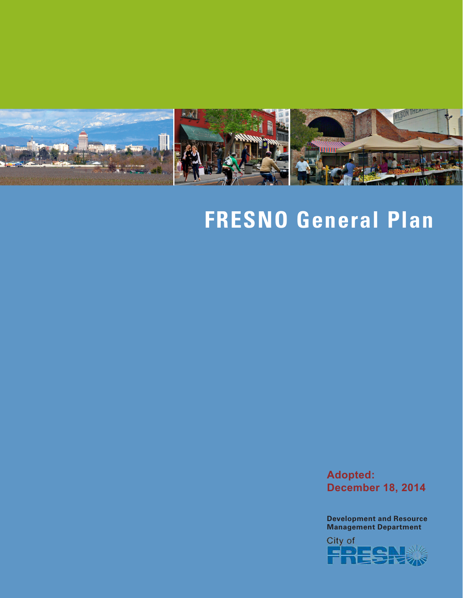

# **FRESNO General Plan**

**Adopted: December 18, 2014**

**Development and Resource Management Department**

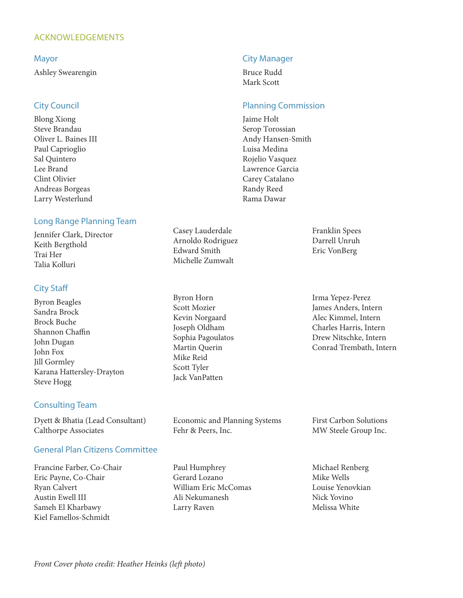#### ACKNOWLEDGEMENTS

#### Mayor

Ashley Swearengin

#### City Council

Blong Xiong Steve Brandau Oliver L. Baines III Paul Caprioglio Sal Quintero Lee Brand Clint Olivier Andreas Borgeas Larry Westerlund

#### Long Range Planning Team

Jennifer Clark, Director Keith Bergthold Trai Her Talia Kolluri

#### City Staff

Byron Beagles Sandra Brock Brock Buche Shannon Chaffin John Dugan John Fox Jill Gormley Karana Hattersley-Drayton Steve Hogg

#### Consulting Team

Dyett & Bhatia (Lead Consultant) Calthorpe Associates

#### General Plan Citizens Committee

Francine Farber, Co-Chair Eric Payne, Co-Chair Ryan Calvert Austin Ewell III Sameh El Kharbawy Kiel Famellos-Schmidt

#### City Manager

Bruce Rudd Mark Scott

#### Planning Commission

Jaime Holt Serop Torossian Andy Hansen-Smith Luisa Medina Rojelio Vasquez Lawrence Garcia Carey Catalano Randy Reed Rama Dawar

Casey Lauderdale Arnoldo Rodriguez Edward Smith Michelle Zumwalt

Byron Horn Scott Mozier Kevin Norgaard Joseph Oldham Sophia Pagoulatos Martin Querin Mike Reid Scott Tyler Jack VanPatten

Economic and Planning Systems Fehr & Peers, Inc.

Paul Humphrey Gerard Lozano William Eric McComas Ali Nekumanesh Larry Raven

Franklin Spees Darrell Unruh Eric VonBerg

Irma Yepez-Perez James Anders, Intern Alec Kimmel, Intern Charles Harris, Intern Drew Nitschke, Intern Conrad Trembath, Intern

First Carbon Solutions MW Steele Group Inc.

Michael Renberg Mike Wells Louise Yenovkian Nick Yovino Melissa White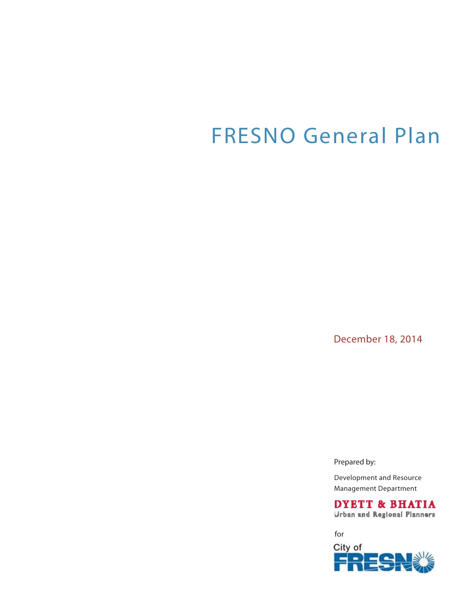## FRESNO General Plan

December 18, 2014

Prepared by:

Development and Resource Management Department

**DYETT & BHATIA Urban and Regional Planners** 

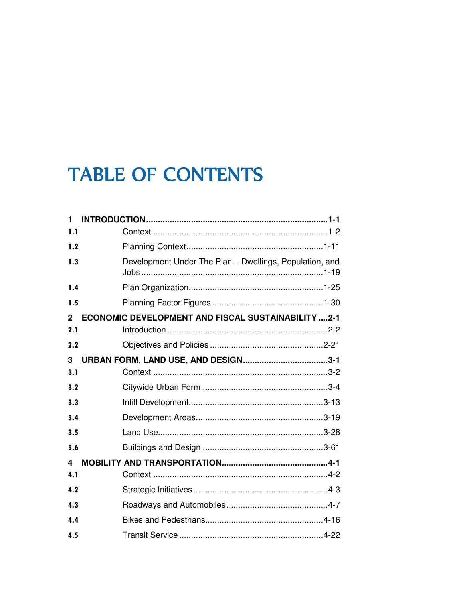### **TABLE OF CONTENTS**

| 1            |                                                           |
|--------------|-----------------------------------------------------------|
| 1.1          |                                                           |
| 1.2          |                                                           |
| 1.3          | Development Under The Plan - Dwellings, Population, and   |
| 1.4          |                                                           |
| 1.5          |                                                           |
| $\mathbf{2}$ | <b>ECONOMIC DEVELOPMENT AND FISCAL SUSTAINABILITY 2-1</b> |
| 2.1          |                                                           |
| 2.2          |                                                           |
| 3            |                                                           |
| 3.1          |                                                           |
| 3.2          |                                                           |
| 3.3          |                                                           |
| 3.4          |                                                           |
| 3.5          |                                                           |
| 3.6          |                                                           |
| 4            |                                                           |
| 4.1          |                                                           |
| 4.2          |                                                           |
| 4.3          |                                                           |
| 4.4          |                                                           |
| 4.5          |                                                           |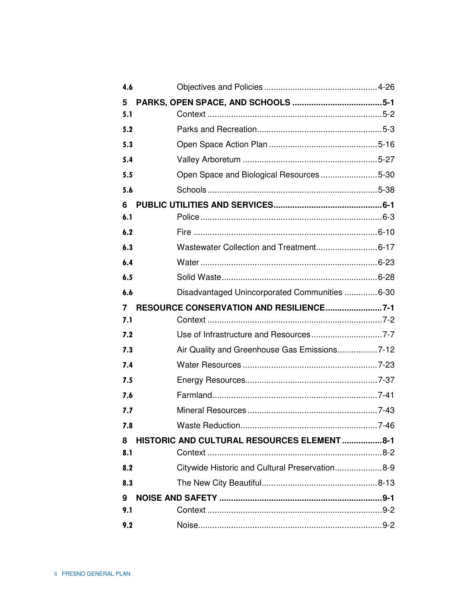| 4.6 |                                                |  |
|-----|------------------------------------------------|--|
| 5   |                                                |  |
| 5.1 |                                                |  |
| 5.2 |                                                |  |
| 5.3 |                                                |  |
| 5.4 |                                                |  |
| 5.5 | Open Space and Biological Resources5-30        |  |
| 5.6 |                                                |  |
| 6   |                                                |  |
| 6.1 |                                                |  |
| 6.2 |                                                |  |
| 6.3 |                                                |  |
| 6.4 |                                                |  |
| 6.5 |                                                |  |
| 6.6 | Disadvantaged Unincorporated Communities  6-30 |  |
| 7   | RESOURCE CONSERVATION AND RESILIENCE7-1        |  |
| 7.1 |                                                |  |
| 7.2 |                                                |  |
| 7.3 | Air Quality and Greenhouse Gas Emissions7-12   |  |
| 7.4 |                                                |  |
| 7.5 |                                                |  |
| 7.6 |                                                |  |
| 7.7 |                                                |  |
| 7.8 |                                                |  |
| 8   | HISTORIC AND CULTURAL RESOURCES ELEMENT8-1     |  |
| 8.1 |                                                |  |
| 8.2 | Citywide Historic and Cultural Preservation8-9 |  |
| 8.3 |                                                |  |
| 9   |                                                |  |
| 9.1 |                                                |  |
| 9.2 |                                                |  |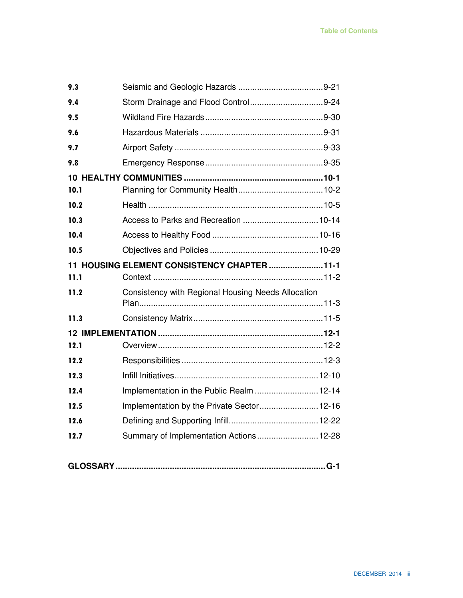| 9.3  |                                                    |
|------|----------------------------------------------------|
| 9.4  |                                                    |
| 9.5  |                                                    |
| 9.6  |                                                    |
| 9.7  |                                                    |
| 9.8  |                                                    |
|      |                                                    |
| 10.1 |                                                    |
| 10.2 |                                                    |
| 10.3 |                                                    |
| 10.4 |                                                    |
| 10.5 |                                                    |
|      | 11 HOUSING ELEMENT CONSISTENCY CHAPTER  11-1       |
|      |                                                    |
| 11.1 |                                                    |
| 11.2 | Consistency with Regional Housing Needs Allocation |
| 11.3 |                                                    |
|      |                                                    |
| 12.1 |                                                    |
| 12.2 |                                                    |
| 12.3 |                                                    |
| 12.4 | Implementation in the Public Realm  12-14          |
| 12.5 | Implementation by the Private Sector 12-16         |
| 12.6 |                                                    |
| 12.7 | Summary of Implementation Actions 12-28            |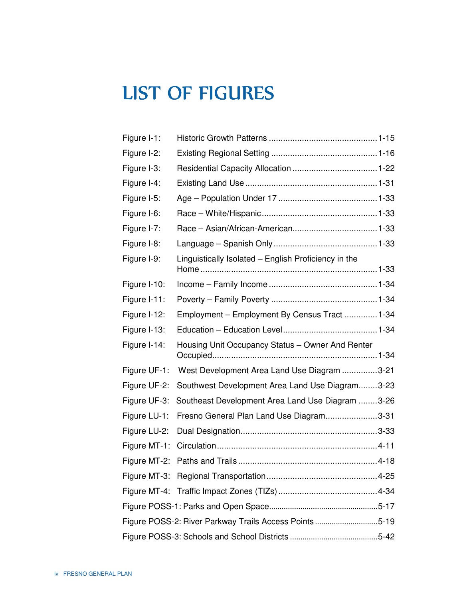### LIST OF FIGURES

| Figure I-1:  |                                                       |  |
|--------------|-------------------------------------------------------|--|
| Figure I-2:  |                                                       |  |
| Figure I-3:  |                                                       |  |
| Figure I-4:  |                                                       |  |
| Figure I-5:  |                                                       |  |
| Figure I-6:  |                                                       |  |
| Figure I-7:  |                                                       |  |
| Figure I-8:  |                                                       |  |
| Figure I-9:  | Linguistically Isolated - English Proficiency in the  |  |
| Figure I-10: |                                                       |  |
| Figure I-11: |                                                       |  |
| Figure I-12: | Employment - Employment By Census Tract  1-34         |  |
| Figure I-13: |                                                       |  |
|              |                                                       |  |
| Figure I-14: | Housing Unit Occupancy Status - Owner And Renter      |  |
| Figure UF-1: | West Development Area Land Use Diagram 3-21           |  |
| Figure UF-2: | Southwest Development Area Land Use Diagram3-23       |  |
| Figure UF-3: | Southeast Development Area Land Use Diagram 3-26      |  |
| Figure LU-1: | Fresno General Plan Land Use Diagram3-31              |  |
| Figure LU-2: |                                                       |  |
| Figure MT-1: |                                                       |  |
| Figure MT-2: |                                                       |  |
|              |                                                       |  |
|              |                                                       |  |
|              |                                                       |  |
|              | Figure POSS-2: River Parkway Trails Access Points5-19 |  |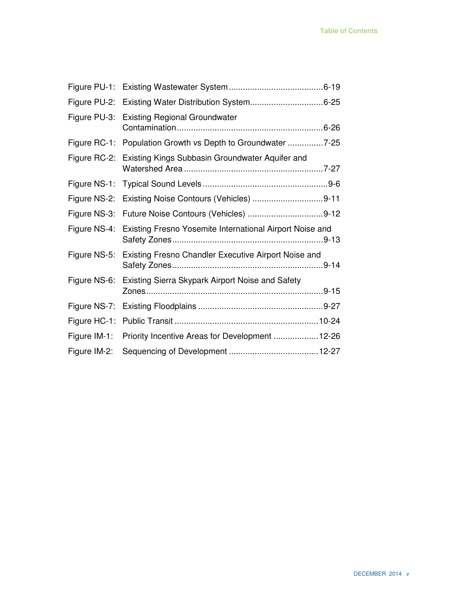|              | Figure PU-2: Existing Water Distribution System6-25                   |
|--------------|-----------------------------------------------------------------------|
|              | Figure PU-3: Existing Regional Groundwater                            |
|              | Figure RC-1: Population Growth vs Depth to Groundwater 7-25           |
|              | Figure RC-2: Existing Kings Subbasin Groundwater Aquifer and          |
| Figure NS-1: |                                                                       |
| Figure NS-2: |                                                                       |
|              | Figure NS-3: Future Noise Contours (Vehicles) 9-12                    |
|              |                                                                       |
|              | Figure NS-4: Existing Fresno Yosemite International Airport Noise and |
| Figure NS-5: | Existing Fresno Chandler Executive Airport Noise and                  |
|              | Figure NS-6: Existing Sierra Skypark Airport Noise and Safety         |
| Figure NS-7: |                                                                       |
| Figure HC-1: |                                                                       |
|              | Figure IM-1: Priority Incentive Areas for Development 12-26           |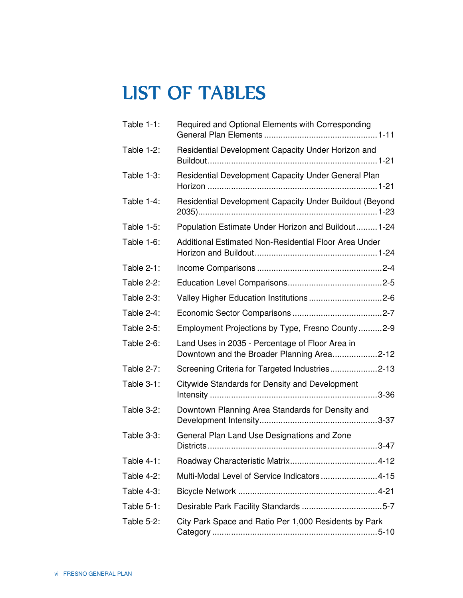### **LIST OF TABLES**

| Table 1-1:        | Required and Optional Elements with Corresponding                                             |
|-------------------|-----------------------------------------------------------------------------------------------|
| <b>Table 1-2:</b> | Residential Development Capacity Under Horizon and                                            |
| Table 1-3:        | Residential Development Capacity Under General Plan                                           |
| Table 1-4:        | Residential Development Capacity Under Buildout (Beyond                                       |
| <b>Table 1-5:</b> | Population Estimate Under Horizon and Buildout 1-24                                           |
| Table 1-6:        | Additional Estimated Non-Residential Floor Area Under                                         |
| Table 2-1:        |                                                                                               |
| <b>Table 2-2:</b> |                                                                                               |
| <b>Table 2-3:</b> |                                                                                               |
| Table 2-4:        |                                                                                               |
| Table 2-5:        | Employment Projections by Type, Fresno County2-9                                              |
| Table 2-6:        | Land Uses in 2035 - Percentage of Floor Area in<br>Downtown and the Broader Planning Area2-12 |
| Table 2-7:        | Screening Criteria for Targeted Industries2-13                                                |
| Table 3-1:        | Citywide Standards for Density and Development<br>$3 - 36$                                    |
| <b>Table 3-2:</b> | Downtown Planning Area Standards for Density and                                              |
| Table 3-3:        | General Plan Land Use Designations and Zone                                                   |
| Table 4-1:        |                                                                                               |
| <b>Table 4-2:</b> | Multi-Modal Level of Service Indicators4-15                                                   |
| <b>Table 4-3:</b> |                                                                                               |
| Table 5-1:        |                                                                                               |
| Table 5-2:        | City Park Space and Ratio Per 1,000 Residents by Park                                         |